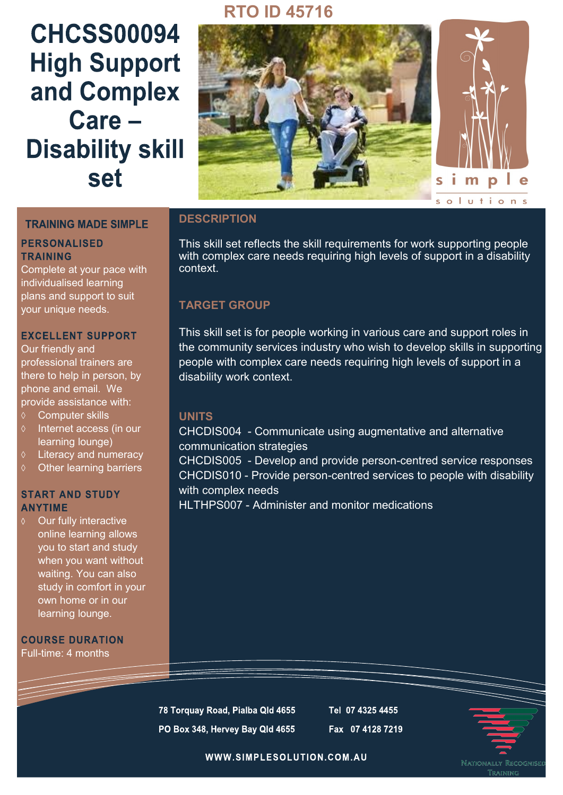# **RTO ID 45716**

# **CHCSS00094 High Support** and Complex Care-**Disability skill** set



#### **TRAINING MADE SIMPLE**

#### **PERSONALISED TRAINING**

Complete at your pace with individualised learning plans and support to suit your unique needs.

#### **EXCELLENT SUPPORT**

Our friendly and professional trainers are there to help in person, by phone and email. We provide assistance with:

- Computer skills
- $\Diamond$  Internet access (in our learning lounge)
- Literacy and numeracy
- $\diamond$  Other learning barriers

#### **START AND STUDY ANYTIME**

Our fully interactive online learning allows you to start and study when you want without waiting. You can also study in comfort in your own home or in our learning lounge.

**COURSE DURATION** Full-time: 4 months

## **DESCRIPTION**

This skill set reflects the skill requirements for work supporting people with complex care needs requiring high levels of support in a disability context.

## **TARGET GROUP**

This skill set is for people working in various care and support roles in the community services industry who wish to develop skills in supporting people with complex care needs requiring high levels of support in a disability work context.

### **UNITS**

CHCDIS004 - Communicate using augmentative and alternative communication strategies

CHCDIS005 - Develop and provide person-centred service responses CHCDIS010 - Provide person-centred services to people with disability with complex needs

HI THPS007 - Administer and monitor medications

78 Torquay Road, Pialba Qld 4655 PO Box 348, Hervey Bay Qld 4655 Tel 07 4325 4455 Fax 07 4128 7219



WWW.SIMPLESOLUTION.COM.AU